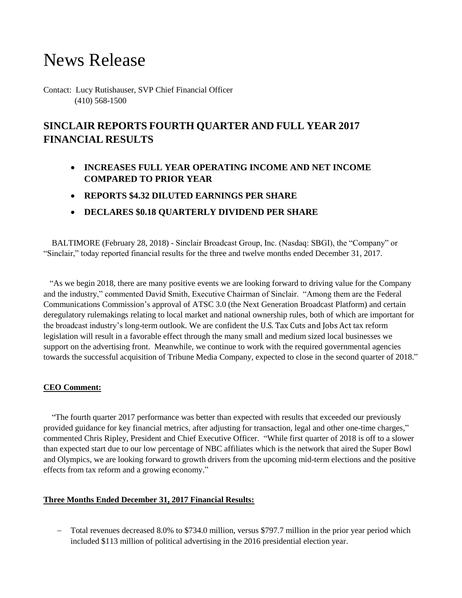# News Release

Contact: Lucy Rutishauser, SVP Chief Financial Officer (410) 568-1500

# **SINCLAIR REPORTS FOURTH QUARTER AND FULL YEAR 2017 FINANCIAL RESULTS**

- **INCREASES FULL YEAR OPERATING INCOME AND NET INCOME COMPARED TO PRIOR YEAR**
- **REPORTS \$4.32 DILUTED EARNINGS PER SHARE**
- **DECLARES \$0.18 QUARTERLY DIVIDEND PER SHARE**

 BALTIMORE (February 28, 2018) - Sinclair Broadcast Group, Inc. (Nasdaq: SBGI), the "Company" or "Sinclair," today reported financial results for the three and twelve months ended December 31, 2017.

 "As we begin 2018, there are many positive events we are looking forward to driving value for the Company and the industry," commented David Smith, Executive Chairman of Sinclair. "Among them are the Federal Communications Commission's approval of ATSC 3.0 (the Next Generation Broadcast Platform) and certain deregulatory rulemakings relating to local market and national ownership rules, both of which are important for the broadcast industry's long-term outlook. We are confident the U.S. Tax Cuts and Jobs Act tax reform legislation will result in a favorable effect through the many small and medium sized local businesses we support on the advertising front. Meanwhile, we continue to work with the required governmental agencies towards the successful acquisition of Tribune Media Company, expected to close in the second quarter of 2018."

#### **CEO Comment:**

 "The fourth quarter 2017 performance was better than expected with results that exceeded our previously provided guidance for key financial metrics, after adjusting for transaction, legal and other one-time charges," commented Chris Ripley, President and Chief Executive Officer. "While first quarter of 2018 is off to a slower than expected start due to our low percentage of NBC affiliates which is the network that aired the Super Bowl and Olympics, we are looking forward to growth drivers from the upcoming mid-term elections and the positive effects from tax reform and a growing economy."

# **Three Months Ended December 31, 2017 Financial Results:**

 Total revenues decreased 8.0% to \$734.0 million, versus \$797.7 million in the prior year period which included \$113 million of political advertising in the 2016 presidential election year.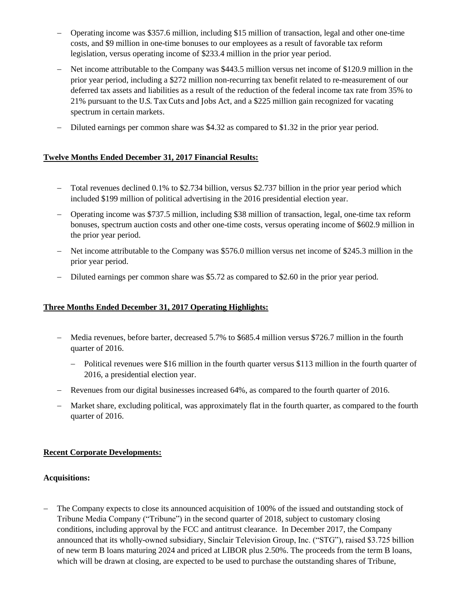- Operating income was \$357.6 million, including \$15 million of transaction, legal and other one-time costs, and \$9 million in one-time bonuses to our employees as a result of favorable tax reform legislation, versus operating income of \$233.4 million in the prior year period.
- Net income attributable to the Company was \$443.5 million versus net income of \$120.9 million in the prior year period, including a \$272 million non-recurring tax benefit related to re-measurement of our deferred tax assets and liabilities as a result of the reduction of the federal income tax rate from 35% to 21% pursuant to the U.S. Tax Cuts and Jobs Act, and a \$225 million gain recognized for vacating spectrum in certain markets.
- Diluted earnings per common share was \$4.32 as compared to \$1.32 in the prior year period.

# **Twelve Months Ended December 31, 2017 Financial Results:**

- Total revenues declined 0.1% to \$2.734 billion, versus \$2.737 billion in the prior year period which included \$199 million of political advertising in the 2016 presidential election year.
- Operating income was \$737.5 million, including \$38 million of transaction, legal, one-time tax reform bonuses, spectrum auction costs and other one-time costs, versus operating income of \$602.9 million in the prior year period.
- Net income attributable to the Company was \$576.0 million versus net income of \$245.3 million in the prior year period.
- Diluted earnings per common share was \$5.72 as compared to \$2.60 in the prior year period.

# **Three Months Ended December 31, 2017 Operating Highlights:**

- Media revenues, before barter, decreased 5.7% to \$685.4 million versus \$726.7 million in the fourth quarter of 2016.
	- Political revenues were \$16 million in the fourth quarter versus \$113 million in the fourth quarter of 2016, a presidential election year.
- Revenues from our digital businesses increased 64%, as compared to the fourth quarter of 2016.
- Market share, excluding political, was approximately flat in the fourth quarter, as compared to the fourth quarter of 2016.

# **Recent Corporate Developments:**

# **Acquisitions:**

 The Company expects to close its announced acquisition of 100% of the issued and outstanding stock of Tribune Media Company ("Tribune") in the second quarter of 2018, subject to customary closing conditions, including approval by the FCC and antitrust clearance. In December 2017, the Company announced that its wholly-owned subsidiary, Sinclair Television Group, Inc. ("STG"), raised \$3.725 billion of new term B loans maturing 2024 and priced at LIBOR plus 2.50%. The proceeds from the term B loans, which will be drawn at closing, are expected to be used to purchase the outstanding shares of Tribune,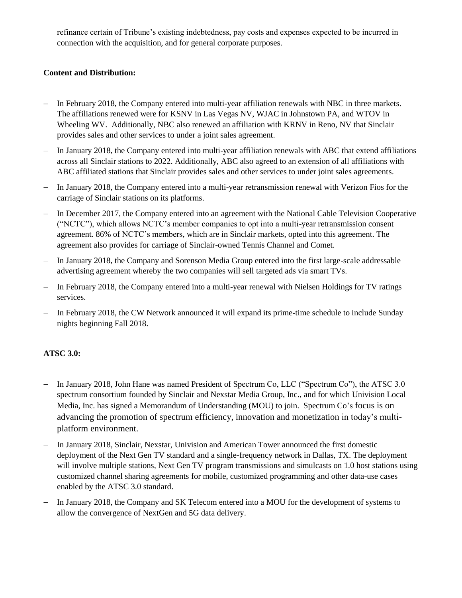refinance certain of Tribune's existing indebtedness, pay costs and expenses expected to be incurred in connection with the acquisition, and for general corporate purposes.

# **Content and Distribution:**

- In February 2018, the Company entered into multi-year affiliation renewals with NBC in three markets. The affiliations renewed were for KSNV in Las Vegas NV, WJAC in Johnstown PA, and WTOV in Wheeling WV. Additionally, NBC also renewed an affiliation with KRNV in Reno, NV that Sinclair provides sales and other services to under a joint sales agreement.
- In January 2018, the Company entered into multi-year affiliation renewals with ABC that extend affiliations across all Sinclair stations to 2022. Additionally, ABC also agreed to an extension of all affiliations with ABC affiliated stations that Sinclair provides sales and other services to under joint sales agreements.
- In January 2018, the Company entered into a multi-year retransmission renewal with Verizon Fios for the carriage of Sinclair stations on its platforms.
- In December 2017, the Company entered into an agreement with the National Cable Television Cooperative ("NCTC"), which allows NCTC's member companies to opt into a multi-year retransmission consent agreement. 86% of NCTC's members, which are in Sinclair markets, opted into this agreement. The agreement also provides for carriage of Sinclair-owned Tennis Channel and Comet.
- In January 2018, the Company and Sorenson Media Group entered into the first large-scale addressable advertising agreement whereby the two companies will sell targeted ads via smart TVs.
- In February 2018, the Company entered into a multi-year renewal with Nielsen Holdings for TV ratings services.
- In February 2018, the CW Network announced it will expand its prime-time schedule to include Sunday nights beginning Fall 2018.

# **ATSC 3.0:**

- In January 2018, John Hane was named President of Spectrum Co, LLC ("Spectrum Co"), the ATSC 3.0 spectrum consortium founded by Sinclair and Nexstar Media Group, Inc., and for which Univision Local Media, Inc. has signed a Memorandum of Understanding (MOU) to join. Spectrum Co's focus is on advancing the promotion of spectrum efficiency, innovation and monetization in today's multiplatform environment.
- In January 2018, Sinclair, Nexstar, Univision and American Tower announced the first domestic deployment of the Next Gen TV standard and a single-frequency network in Dallas, TX. The deployment will involve multiple stations, Next Gen TV program transmissions and simulcasts on 1.0 host stations using customized channel sharing agreements for mobile, customized programming and other data-use cases enabled by the ATSC 3.0 standard.
- In January 2018, the Company and SK Telecom entered into a MOU for the development of systems to allow the convergence of NextGen and 5G data delivery.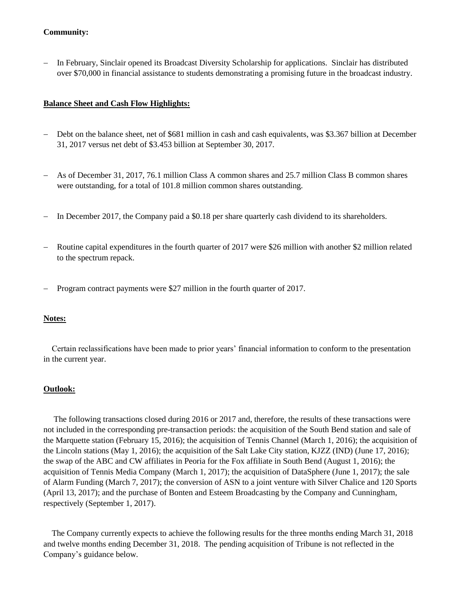#### **Community:**

 In February, Sinclair opened its Broadcast Diversity Scholarship for applications. Sinclair has distributed over \$70,000 in financial assistance to students demonstrating a promising future in the broadcast industry.

#### **Balance Sheet and Cash Flow Highlights:**

- Debt on the balance sheet, net of \$681 million in cash and cash equivalents, was \$3.367 billion at December 31, 2017 versus net debt of \$3.453 billion at September 30, 2017.
- As of December 31, 2017, 76.1 million Class A common shares and 25.7 million Class B common shares were outstanding, for a total of 101.8 million common shares outstanding.
- In December 2017, the Company paid a \$0.18 per share quarterly cash dividend to its shareholders.
- Routine capital expenditures in the fourth quarter of 2017 were \$26 million with another \$2 million related to the spectrum repack.
- Program contract payments were \$27 million in the fourth quarter of 2017.

#### **Notes:**

 Certain reclassifications have been made to prior years' financial information to conform to the presentation in the current year.

#### **Outlook:**

The following transactions closed during 2016 or 2017 and, therefore, the results of these transactions were not included in the corresponding pre-transaction periods: the acquisition of the South Bend station and sale of the Marquette station (February 15, 2016); the acquisition of Tennis Channel (March 1, 2016); the acquisition of the Lincoln stations (May 1, 2016); the acquisition of the Salt Lake City station, KJZZ (IND) (June 17, 2016); the swap of the ABC and CW affiliates in Peoria for the Fox affiliate in South Bend (August 1, 2016); the acquisition of Tennis Media Company (March 1, 2017); the acquisition of DataSphere (June 1, 2017); the sale of Alarm Funding (March 7, 2017); the conversion of ASN to a joint venture with Silver Chalice and 120 Sports (April 13, 2017); and the purchase of Bonten and Esteem Broadcasting by the Company and Cunningham, respectively (September 1, 2017).

 The Company currently expects to achieve the following results for the three months ending March 31, 2018 and twelve months ending December 31, 2018. The pending acquisition of Tribune is not reflected in the Company's guidance below.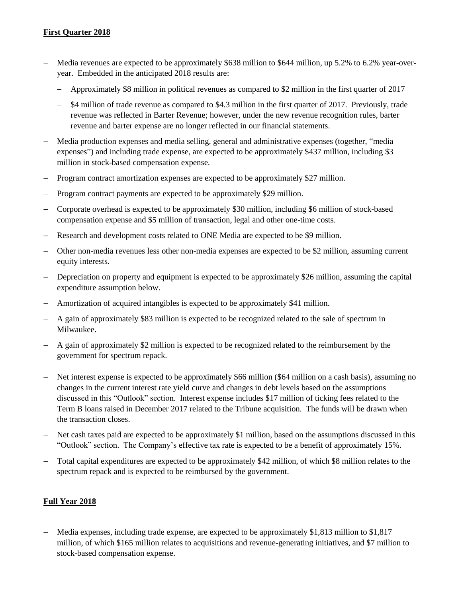### **First Quarter 2018**

- Media revenues are expected to be approximately \$638 million to \$644 million, up 5.2% to 6.2% year-overyear. Embedded in the anticipated 2018 results are:
	- Approximately \$8 million in political revenues as compared to \$2 million in the first quarter of 2017
	- $-$  \$4 million of trade revenue as compared to \$4.3 million in the first quarter of 2017. Previously, trade revenue was reflected in Barter Revenue; however, under the new revenue recognition rules, barter revenue and barter expense are no longer reflected in our financial statements.
- Media production expenses and media selling, general and administrative expenses (together, "media expenses") and including trade expense, are expected to be approximately \$437 million, including \$3 million in stock-based compensation expense.
- Program contract amortization expenses are expected to be approximately \$27 million.
- Program contract payments are expected to be approximately \$29 million.
- Corporate overhead is expected to be approximately \$30 million, including \$6 million of stock-based compensation expense and \$5 million of transaction, legal and other one-time costs.
- Research and development costs related to ONE Media are expected to be \$9 million.
- Other non-media revenues less other non-media expenses are expected to be \$2 million, assuming current equity interests.
- Depreciation on property and equipment is expected to be approximately \$26 million, assuming the capital expenditure assumption below.
- Amortization of acquired intangibles is expected to be approximately \$41 million.
- A gain of approximately \$83 million is expected to be recognized related to the sale of spectrum in Milwaukee.
- A gain of approximately \$2 million is expected to be recognized related to the reimbursement by the government for spectrum repack.
- Net interest expense is expected to be approximately \$66 million (\$64 million on a cash basis), assuming no changes in the current interest rate yield curve and changes in debt levels based on the assumptions discussed in this "Outlook" section. Interest expense includes \$17 million of ticking fees related to the Term B loans raised in December 2017 related to the Tribune acquisition. The funds will be drawn when the transaction closes.
- Net cash taxes paid are expected to be approximately \$1 million, based on the assumptions discussed in this "Outlook" section. The Company's effective tax rate is expected to be a benefit of approximately 15%.
- Total capital expenditures are expected to be approximately \$42 million, of which \$8 million relates to the spectrum repack and is expected to be reimbursed by the government.

# **Full Year 2018**

 Media expenses, including trade expense, are expected to be approximately \$1,813 million to \$1,817 million, of which \$165 million relates to acquisitions and revenue-generating initiatives, and \$7 million to stock-based compensation expense.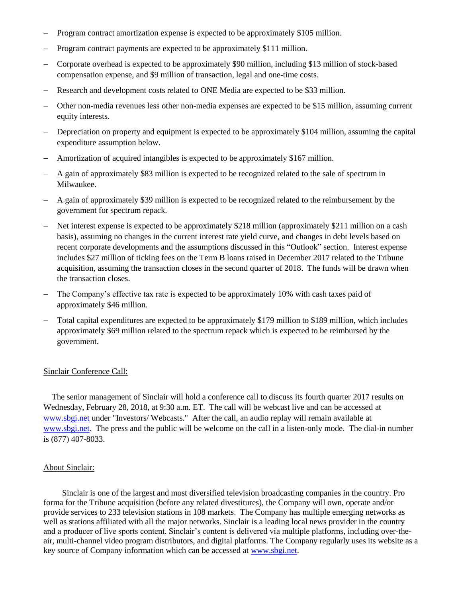- Program contract amortization expense is expected to be approximately \$105 million.
- Program contract payments are expected to be approximately \$111 million.
- Corporate overhead is expected to be approximately \$90 million, including \$13 million of stock-based compensation expense, and \$9 million of transaction, legal and one-time costs.
- Research and development costs related to ONE Media are expected to be \$33 million.
- Other non-media revenues less other non-media expenses are expected to be \$15 million, assuming current equity interests.
- Depreciation on property and equipment is expected to be approximately \$104 million, assuming the capital expenditure assumption below.
- Amortization of acquired intangibles is expected to be approximately \$167 million.
- A gain of approximately \$83 million is expected to be recognized related to the sale of spectrum in Milwaukee.
- A gain of approximately \$39 million is expected to be recognized related to the reimbursement by the government for spectrum repack.
- Net interest expense is expected to be approximately \$218 million (approximately \$211 million on a cash basis), assuming no changes in the current interest rate yield curve, and changes in debt levels based on recent corporate developments and the assumptions discussed in this "Outlook" section. Interest expense includes \$27 million of ticking fees on the Term B loans raised in December 2017 related to the Tribune acquisition, assuming the transaction closes in the second quarter of 2018. The funds will be drawn when the transaction closes.
- The Company's effective tax rate is expected to be approximately 10% with cash taxes paid of approximately \$46 million.
- Total capital expenditures are expected to be approximately \$179 million to \$189 million, which includes approximately \$69 million related to the spectrum repack which is expected to be reimbursed by the government.

# Sinclair Conference Call:

 The senior management of Sinclair will hold a conference call to discuss its fourth quarter 2017 results on Wednesday, February 28, 2018, at 9:30 a.m. ET. The call will be webcast live and can be accessed at [www.sbgi.net](http://www.sbgi.net/) under "Investors/ Webcasts." After the call, an audio replay will remain available at [www.sbgi.net.](http://www.sbgi.net/) The press and the public will be welcome on the call in a listen-only mode. The dial-in number is (877) 407-8033.

#### About Sinclair:

 Sinclair is one of the largest and most diversified television broadcasting companies in the country. Pro forma for the Tribune acquisition (before any related divestitures), the Company will own, operate and/or provide services to 233 television stations in 108 markets. The Company has multiple emerging networks as well as stations affiliated with all the major networks. Sinclair is a leading local news provider in the country and a producer of live sports content. Sinclair's content is delivered via multiple platforms, including over-theair, multi-channel video program distributors, and digital platforms. The Company regularly uses its website as a key source of Company information which can be accessed at [www.sbgi.net.](http://www.sbgi.net/)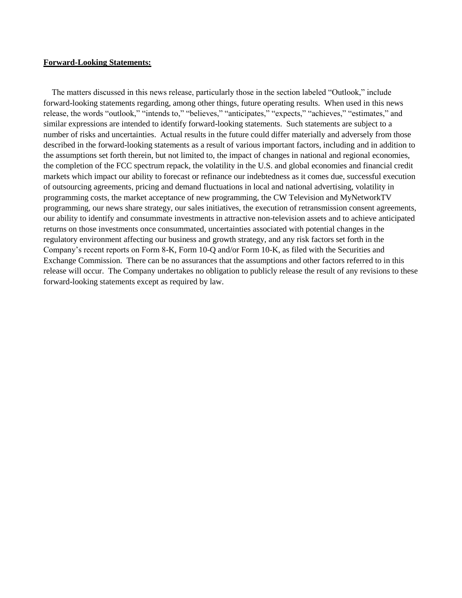#### **Forward-Looking Statements:**

The matters discussed in this news release, particularly those in the section labeled "Outlook," include forward-looking statements regarding, among other things, future operating results. When used in this news release, the words "outlook," "intends to," "believes," "anticipates," "expects," "achieves," "estimates," and similar expressions are intended to identify forward-looking statements. Such statements are subject to a number of risks and uncertainties. Actual results in the future could differ materially and adversely from those described in the forward-looking statements as a result of various important factors, including and in addition to the assumptions set forth therein, but not limited to, the impact of changes in national and regional economies, the completion of the FCC spectrum repack, the volatility in the U.S. and global economies and financial credit markets which impact our ability to forecast or refinance our indebtedness as it comes due, successful execution of outsourcing agreements, pricing and demand fluctuations in local and national advertising, volatility in programming costs, the market acceptance of new programming, the CW Television and MyNetworkTV programming, our news share strategy, our sales initiatives, the execution of retransmission consent agreements, our ability to identify and consummate investments in attractive non-television assets and to achieve anticipated returns on those investments once consummated, uncertainties associated with potential changes in the regulatory environment affecting our business and growth strategy, and any risk factors set forth in the Company's recent reports on Form 8-K, Form 10-Q and/or Form 10-K, as filed with the Securities and Exchange Commission. There can be no assurances that the assumptions and other factors referred to in this release will occur. The Company undertakes no obligation to publicly release the result of any revisions to these forward-looking statements except as required by law.